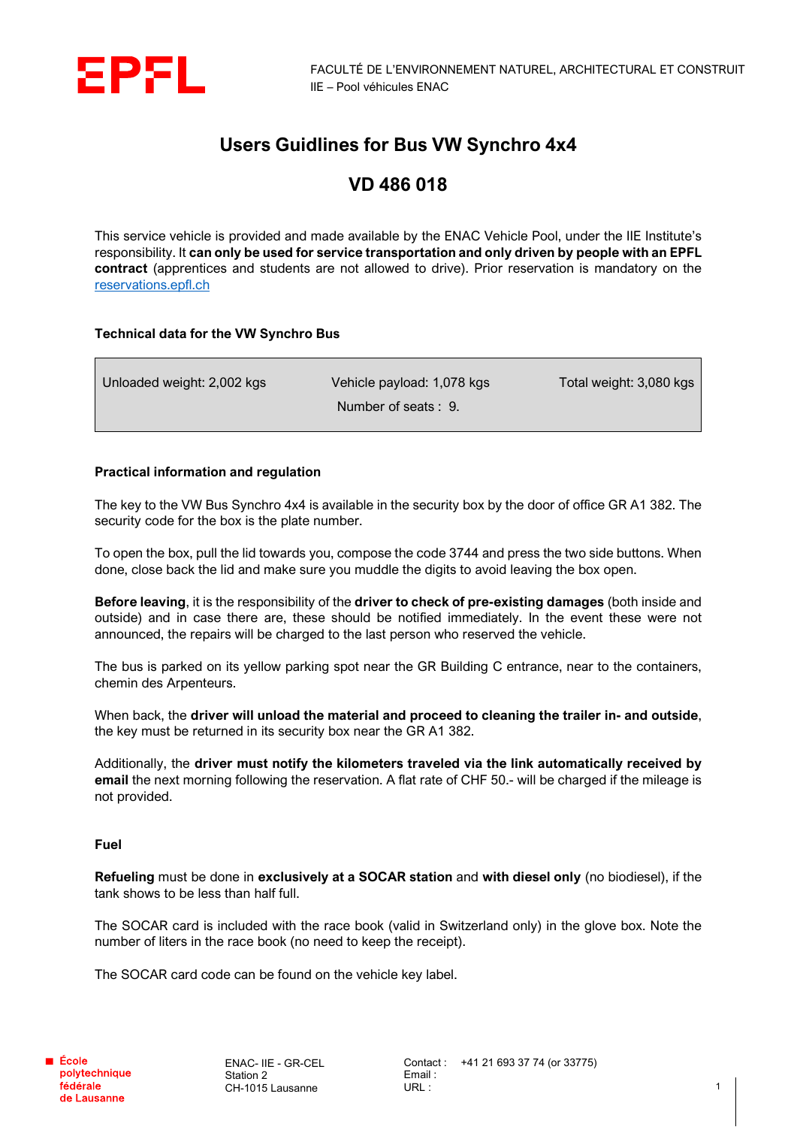

## **Users Guidlines for Bus VW Synchro 4x4**

# **VD 486 018**

This service vehicle is provided and made available by the ENAC Vehicle Pool, under the IIE Institute's responsibility. It **can only be used for service transportation and only driven by people with an EPFL contract** (apprentices and students are not allowed to drive). Prior reservation is mandatory on the [reservations.epfl.ch](http://reservations.epfl.ch/cgi-bin/res)

### **Technical data for the VW Synchro Bus**

| Unloaded weight: 2,002 kgs | Vehicle payload: 1,078 kgs | Total weight: 3,080 kgs |
|----------------------------|----------------------------|-------------------------|
|                            | Number of seats: 9.        |                         |

## **Practical information and regulation**

The key to the VW Bus Synchro 4x4 is available in the security box by the door of office GR A1 382. The security code for the box is the plate number.

To open the box, pull the lid towards you, compose the code 3744 and press the two side buttons. When done, close back the lid and make sure you muddle the digits to avoid leaving the box open.

**Before leaving**, it is the responsibility of the **driver to check of pre-existing damages** (both inside and outside) and in case there are, these should be notified immediately. In the event these were not announced, the repairs will be charged to the last person who reserved the vehicle.

The bus is parked on its yellow parking spot near the GR Building C entrance, near to the containers, chemin des Arpenteurs.

When back, the **driver will unload the material and proceed to cleaning the trailer in- and outside**, the key must be returned in its security box near the GR A1 382.

Additionally, the **driver must notify the kilometers traveled via the link automatically received by email** the next morning following the reservation. A flat rate of CHF 50.- will be charged if the mileage is not provided.

### **Fuel**

**Refueling** must be done in **exclusively at a SOCAR station** and **with diesel only** (no biodiesel), if the tank shows to be less than half full.

The SOCAR card is included with the race book (valid in Switzerland only) in the glove box. Note the number of liters in the race book (no need to keep the receipt).

The SOCAR card code can be found on the vehicle key label.